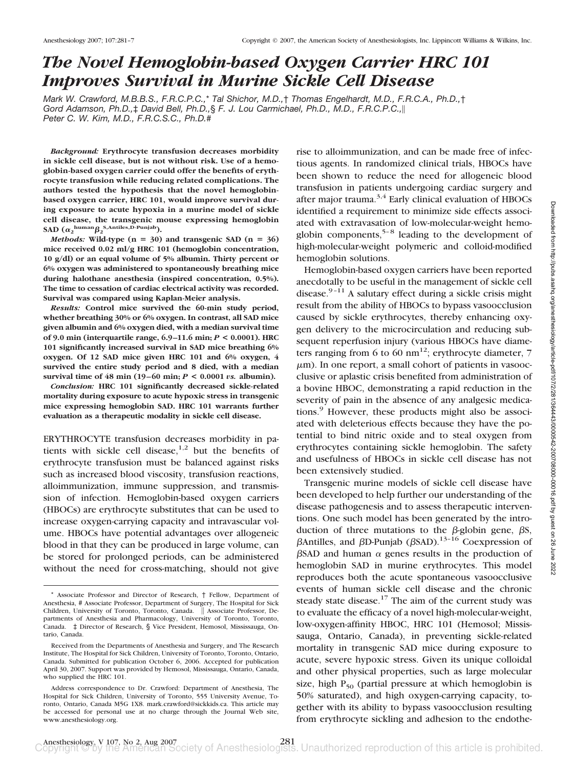# *The Novel Hemoglobin-based Oxygen Carrier HRC 101 Improves Survival in Murine Sickle Cell Disease*

*Mark W. Crawford, M.B.B.S., F.R.C.P.C.,*\* *Tal Shichor, M.D.,*† *Thomas Engelhardt, M.D., F.R.C.A., Ph.D.,*† *Gord Adamson, Ph.D.,*‡ *David Bell, Ph.D.,*§ *F. J. Lou Carmichael, Ph.D., M.D., F.R.C.P.C., Peter C. W. Kim, M.D., F.R.C.S.C., Ph.D.*#

*Background:* **Erythrocyte transfusion decreases morbidity in sickle cell disease, but is not without risk. Use of a hemoglobin-based oxygen carrier could offer the benefits of erythrocyte transfusion while reducing related complications. The authors tested the hypothesis that the novel hemoglobinbased oxygen carrier, HRC 101, would improve survival during exposure to acute hypoxia in a murine model of sickle cell disease, the transgenic mouse expressing hemoglobin SAD**  $(\alpha_2^{\text{human}} \beta_2^{\text{ S, Antiles, D-Punjab}}).$ 

*Methods:* Wild-type  $(n = 30)$  and transgenic SAD  $(n = 36)$ **mice received 0.02 ml/g HRC 101 (hemoglobin concentration, 10 g/dl) or an equal volume of 5% albumin. Thirty percent or 6% oxygen was administered to spontaneously breathing mice during halothane anesthesia (inspired concentration, 0.5%). The time to cessation of cardiac electrical activity was recorded. Survival was compared using Kaplan-Meier analysis.**

*Results:* **Control mice survived the 60-min study period, whether breathing 30% or 6% oxygen. In contrast, all SAD mice given albumin and 6% oxygen died, with a median survival time of 9.0 min (interquartile range, 6.9 –11.6 min;** *P* **< 0.0001). HRC 101 significantly increased survival in SAD mice breathing 6% oxygen. Of 12 SAD mice given HRC 101 and 6% oxygen, 4 survived the entire study period and 8 died, with a median survival time of 48 min (19–60 min;**  $P < 0.0001$  *vs.* albumin).

*Conclusion:* **HRC 101 significantly decreased sickle-related mortality during exposure to acute hypoxic stress in transgenic mice expressing hemoglobin SAD. HRC 101 warrants further evaluation as a therapeutic modality in sickle cell disease.**

ERYTHROCYTE transfusion decreases morbidity in patients with sickle cell disease, $1,2$  but the benefits of erythrocyte transfusion must be balanced against risks such as increased blood viscosity, transfusion reactions, alloimmunization, immune suppression, and transmission of infection. Hemoglobin-based oxygen carriers (HBOCs) are erythrocyte substitutes that can be used to increase oxygen-carrying capacity and intravascular volume. HBOCs have potential advantages over allogeneic blood in that they can be produced in large volume, can be stored for prolonged periods, can be administered without the need for cross-matching, should not give rise to alloimmunization, and can be made free of infectious agents. In randomized clinical trials, HBOCs have been shown to reduce the need for allogeneic blood transfusion in patients undergoing cardiac surgery and after major trauma. $3,4$  Early clinical evaluation of HBOCs identified a requirement to minimize side effects associated with extravasation of low-molecular-weight hemoglobin components,  $5-8$  leading to the development of high-molecular-weight polymeric and colloid-modified hemoglobin solutions.

Hemoglobin-based oxygen carriers have been reported anecdotally to be useful in the management of sickle cell disease. $9-11$  A salutary effect during a sickle crisis might result from the ability of HBOCs to bypass vasoocclusion caused by sickle erythrocytes, thereby enhancing oxygen delivery to the microcirculation and reducing subsequent reperfusion injury (various HBOCs have diameters ranging from 6 to 60 nm<sup>12</sup>; erythrocyte diameter, 7  $\mu$ m). In one report, a small cohort of patients in vasoocclusive or aplastic crisis benefited from administration of a bovine HBOC, demonstrating a rapid reduction in the severity of pain in the absence of any analgesic medications.<sup>9</sup> However, these products might also be associated with deleterious effects because they have the potential to bind nitric oxide and to steal oxygen from erythrocytes containing sickle hemoglobin. The safety and usefulness of HBOCs in sickle cell disease has not been extensively studied.

Transgenic murine models of sickle cell disease have been developed to help further our understanding of the disease pathogenesis and to assess therapeutic interventions. One such model has been generated by the introduction of three mutations to the  $\beta$ -globin gene,  $\beta$ S,  $\beta$ Antilles, and  $\beta$ D-Punjab ( $\beta$ SAD).<sup>13–16</sup> Coexpression of  $\beta$ SAD and human  $\alpha$  genes results in the production of hemoglobin SAD in murine erythrocytes. This model reproduces both the acute spontaneous vasoocclusive events of human sickle cell disease and the chronic steady state disease. $17$  The aim of the current study was to evaluate the efficacy of a novel high-molecular-weight, low-oxygen-affinity HBOC, HRC 101 (Hemosol; Mississauga, Ontario, Canada), in preventing sickle-related mortality in transgenic SAD mice during exposure to acute, severe hypoxic stress. Given its unique colloidal and other physical properties, such as large molecular size, high  $P_{50}$  (partial pressure at which hemoglobin is 50% saturated), and high oxygen-carrying capacity, together with its ability to bypass vasoocclusion resulting from erythrocyte sickling and adhesion to the endothe-

<sup>\*</sup> Associate Professor and Director of Research, † Fellow, Department of Anesthesia, # Associate Professor, Department of Surgery, The Hospital for Sick Children, University of Toronto, Toronto, Canada. || Associate Professor, Departments of Anesthesia and Pharmacology, University of Toronto, Toronto, Canada. ‡ Director of Research, § Vice President, Hemosol, Mississauga, Ontario, Canada.

Received from the Departments of Anesthesia and Surgery, and The Research Institute, The Hospital for Sick Children, University of Toronto, Toronto, Ontario, Canada. Submitted for publication October 6, 2006. Accepted for publication April 30, 2007. Support was provided by Hemosol, Mississauga, Ontario, Canada, who supplied the HRC 101.

Address correspondence to Dr. Crawford: Department of Anesthesia, The Hospital for Sick Children, University of Toronto, 555 University Avenue, Toronto, Ontario, Canada M5G 1X8. mark.crawford@sickkids.ca. This article may be accessed for personal use at no charge through the Journal Web site, www.anesthesiology.org.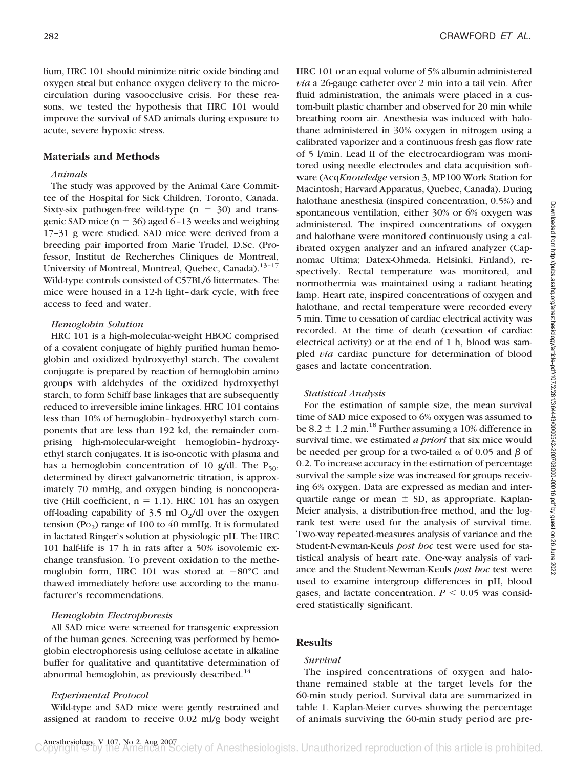lium, HRC 101 should minimize nitric oxide binding and oxygen steal but enhance oxygen delivery to the microcirculation during vasoocclusive crisis. For these reasons, we tested the hypothesis that HRC 101 would improve the survival of SAD animals during exposure to acute, severe hypoxic stress.

## **Materials and Methods**

## *Animals*

The study was approved by the Animal Care Committee of the Hospital for Sick Children, Toronto, Canada. Sixty-six pathogen-free wild-type  $(n = 30)$  and transgenic SAD mice ( $n = 36$ ) aged 6-13 weeks and weighing 17–31 g were studied. SAD mice were derived from a breeding pair imported from Marie Trudel, D.Sc. (Professor, Institut de Recherches Cliniques de Montreal, University of Montreal, Montreal, Quebec, Canada).<sup>13-17</sup> Wild-type controls consisted of C57BL/6 littermates. The mice were housed in a 12-h light–dark cycle, with free access to feed and water.

#### *Hemoglobin Solution*

HRC 101 is a high-molecular-weight HBOC comprised of a covalent conjugate of highly purified human hemoglobin and oxidized hydroxyethyl starch. The covalent conjugate is prepared by reaction of hemoglobin amino groups with aldehydes of the oxidized hydroxyethyl starch, to form Schiff base linkages that are subsequently reduced to irreversible imine linkages. HRC 101 contains less than 10% of hemoglobin–hydroxyethyl starch components that are less than 192 kd, the remainder comprising high-molecular-weight hemoglobin–hydroxyethyl starch conjugates. It is iso-oncotic with plasma and has a hemoglobin concentration of 10 g/dl. The  $P_{50}$ , determined by direct galvanometric titration, is approximately 70 mmHg, and oxygen binding is noncooperative (Hill coefficient,  $n = 1.1$ ). HRC 101 has an oxygen off-loading capability of  $3.5$  ml O<sub>2</sub>/dl over the oxygen tension (P $o<sub>2</sub>$ ) range of 100 to 40 mmHg. It is formulated in lactated Ringer's solution at physiologic pH. The HRC 101 half-life is 17 h in rats after a 50% isovolemic exchange transfusion. To prevent oxidation to the methemoglobin form, HRC 101 was stored at  $-80^{\circ}$ C and thawed immediately before use according to the manufacturer's recommendations.

#### *Hemoglobin Electrophoresis*

All SAD mice were screened for transgenic expression of the human genes. Screening was performed by hemoglobin electrophoresis using cellulose acetate in alkaline buffer for qualitative and quantitative determination of abnormal hemoglobin, as previously described. $14$ 

#### *Experimental Protocol*

Wild-type and SAD mice were gently restrained and assigned at random to receive 0.02 ml/g body weight HRC 101 or an equal volume of 5% albumin administered *via* a 26-gauge catheter over 2 min into a tail vein. After fluid administration, the animals were placed in a custom-built plastic chamber and observed for 20 min while breathing room air. Anesthesia was induced with halothane administered in 30% oxygen in nitrogen using a calibrated vaporizer and a continuous fresh gas flow rate of 5 l/min. Lead II of the electrocardiogram was monitored using needle electrodes and data acquisition software (Acq*Knowledge* version 3, MP100 Work Station for Macintosh; Harvard Apparatus, Quebec, Canada). During halothane anesthesia (inspired concentration, 0.5%) and spontaneous ventilation, either 30% or 6% oxygen was administered. The inspired concentrations of oxygen and halothane were monitored continuously using a calibrated oxygen analyzer and an infrared analyzer (Capnomac Ultima; Datex-Ohmeda, Helsinki, Finland), respectively. Rectal temperature was monitored, and normothermia was maintained using a radiant heating lamp. Heart rate, inspired concentrations of oxygen and halothane, and rectal temperature were recorded every 5 min. Time to cessation of cardiac electrical activity was recorded. At the time of death (cessation of cardiac electrical activity) or at the end of 1 h, blood was sampled *via* cardiac puncture for determination of blood gases and lactate concentration.

#### *Statistical Analysis*

For the estimation of sample size, the mean survival time of SAD mice exposed to 6% oxygen was assumed to be  $8.2 \pm 1.2$  min.<sup>18</sup> Further assuming a 10% difference in survival time, we estimated *a priori* that six mice would be needed per group for a two-tailed  $\alpha$  of 0.05 and  $\beta$  of 0.2. To increase accuracy in the estimation of percentage survival the sample size was increased for groups receiving 6% oxygen. Data are expressed as median and interquartile range or mean  $\pm$  SD, as appropriate. Kaplan-Meier analysis, a distribution-free method, and the logrank test were used for the analysis of survival time. Two-way repeated-measures analysis of variance and the Student-Newman-Keuls *post hoc* test were used for statistical analysis of heart rate. One-way analysis of variance and the Student-Newman-Keuls *post hoc* test were used to examine intergroup differences in pH, blood gases, and lactate concentration.  $P \leq 0.05$  was considered statistically significant.

#### **Results**

#### *Survival*

The inspired concentrations of oxygen and halothane remained stable at the target levels for the 60-min study period. Survival data are summarized in table 1. Kaplan-Meier curves showing the percentage of animals surviving the 60-min study period are pre-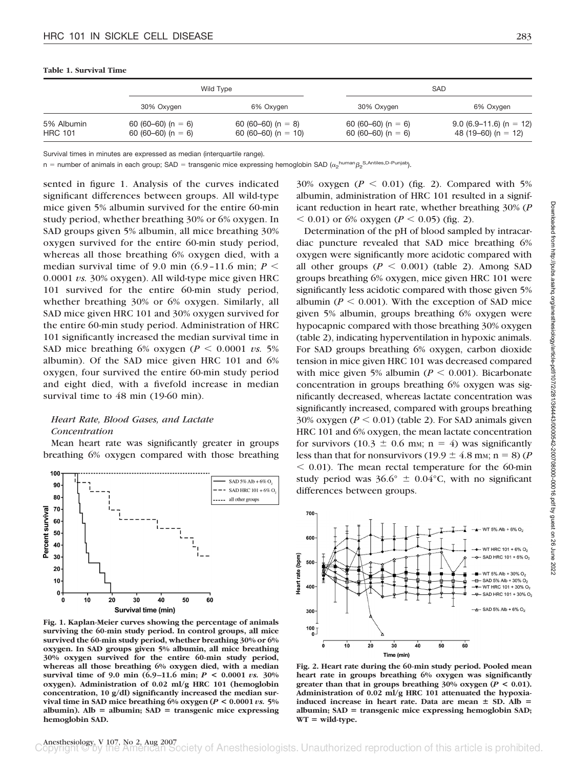#### **Table 1. Survival Time**

|                              |                                          | Wild Type                                 |                                          | <b>SAD</b>                                       |
|------------------------------|------------------------------------------|-------------------------------------------|------------------------------------------|--------------------------------------------------|
|                              | 30% Oxygen                               | 6% Oxygen                                 | 30% Oxygen                               | 6% Oxygen                                        |
| 5% Albumin<br><b>HRC 101</b> | 60 (60–60) (n = 6)<br>60 (60–60) (n = 6) | 60 (60–60) (n = 8)<br>60 (60–60) (n = 10) | 60 (60–60) (n = 6)<br>60 (60–60) (n = 6) | $9.0$ (6.9–11.6) (n = 12)<br>48 (19–60) (n = 12) |

Survival times in minutes are expressed as median (interquartile range).

n = number of animals in each group; SAD = transgenic mice expressing hemoglobin SAD ( $\alpha_2$ <sup>human</sup> $\beta_2$ <sup>S,Antiles,D-Punjab</sup>).

sented in figure 1. Analysis of the curves indicated significant differences between groups. All wild-type mice given 5% albumin survived for the entire 60-min study period, whether breathing 30% or 6% oxygen. In SAD groups given 5% albumin, all mice breathing 30% oxygen survived for the entire 60-min study period, whereas all those breathing 6% oxygen died, with a median survival time of 9.0 min  $(6.9-11.6 \text{ min}; P \leq$ 0.0001 *vs.* 30% oxygen). All wild-type mice given HRC 101 survived for the entire 60-min study period, whether breathing 30% or 6% oxygen. Similarly, all SAD mice given HRC 101 and 30% oxygen survived for the entire 60-min study period. Administration of HRC 101 significantly increased the median survival time in SAD mice breathing 6% oxygen ( $P \le 0.0001$  *vs.* 5% albumin). Of the SAD mice given HRC 101 and 6% oxygen, four survived the entire 60-min study period and eight died, with a fivefold increase in median survival time to 48 min (19-60 min).

# *Heart Rate, Blood Gases, and Lactate Concentration*

Mean heart rate was significantly greater in groups breathing 6% oxygen compared with those breathing



**Fig. 1. Kaplan-Meier curves showing the percentage of animals surviving the 60-min study period. In control groups, all mice survived the 60-min study period, whether breathing 30% or 6% oxygen. In SAD groups given 5% albumin, all mice breathing 30% oxygen survived for the entire 60-min study period, whereas all those breathing 6% oxygen died, with a median survival time of 9.0 min (6.9 –11.6 min;** *P* **< 0.0001** *vs.* **30% oxygen). Administration of 0.02 ml/g HRC 101 (hemoglobin concentration, 10 g/dl) significantly increased the median survival time in SAD mice breathing 6% oxygen (***P* **< 0.0001** *vs.* **5%** albumin).  $\text{Alb} = \text{albumin}$ ;  $\text{SAD} = \text{transgenic mice expressing}$ **hemoglobin SAD.**

30% oxygen  $(P \le 0.01)$  (fig. 2). Compared with 5% albumin, administration of HRC 101 resulted in a significant reduction in heart rate, whether breathing 30% (*P*  $0.01$  or 6% oxygen (*P*  $0.05$ ) (fig. 2).

Determination of the pH of blood sampled by intracardiac puncture revealed that SAD mice breathing 6% oxygen were significantly more acidotic compared with all other groups  $(P < 0.001)$  (table 2). Among SAD groups breathing 6% oxygen, mice given HRC 101 were significantly less acidotic compared with those given 5% albumin ( $P \le 0.001$ ). With the exception of SAD mice given 5% albumin, groups breathing 6% oxygen were hypocapnic compared with those breathing 30% oxygen (table 2), indicating hyperventilation in hypoxic animals. For SAD groups breathing 6% oxygen, carbon dioxide tension in mice given HRC 101 was decreased compared with mice given 5% albumin ( $P \le 0.001$ ). Bicarbonate concentration in groups breathing 6% oxygen was significantly decreased, whereas lactate concentration was significantly increased, compared with groups breathing 30% oxygen ( $P \le 0.01$ ) (table 2). For SAD animals given HRC 101 and 6% oxygen, the mean lactate concentration for survivors (10.3  $\pm$  0.6 mm; n = 4) was significantly less than that for nonsurvivors (19.9  $\pm$  4.8 mm; n = 8) (*P*  $<$  0.01). The mean rectal temperature for the 60-min study period was  $36.6^{\circ} \pm 0.04^{\circ}$ C, with no significant differences between groups.



**Fig. 2. Heart rate during the 60-min study period. Pooled mean heart rate in groups breathing 6% oxygen was significantly greater than that in groups breathing**  $30\%$  **oxygen (** $P < 0.01$ **). Administration of 0.02 ml/g HRC 101 attenuated the hypoxiainduced increase in heart rate. Data are mean**  $\pm$  **SD. Alb** = albumin; SAD = transgenic mice expressing hemoglobin SAD;  $WT = wild-type.$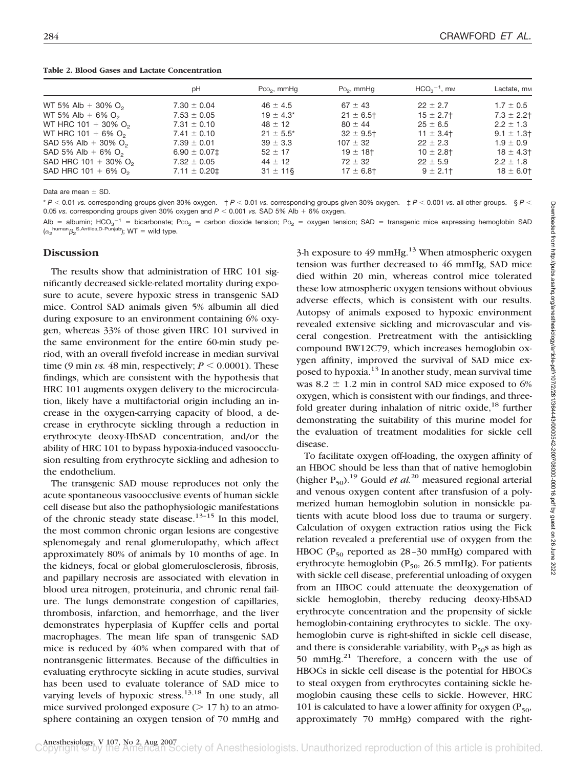|                                    | рH                | $PCO2$ , mmHq  | $Po2$ , mmHg   | $HCO3-1$ , m <sub>M</sub> | Lactate, m <sub>M</sub> |
|------------------------------------|-------------------|----------------|----------------|---------------------------|-------------------------|
| WT 5% Alb + 30% $O_2$              | $7.30 \pm 0.04$   | $46 \pm 4.5$   | $67 \pm 43$    | $22 \pm 2.7$              | $1.7 \pm 0.5$           |
| WT 5% Alb + 6% $O_2$               | $7.53 \pm 0.05$   | $19 \pm 4.3^*$ | $21 \pm 6.5$ † | $15 \pm 2.7$ †            | $7.3 \pm 2.2$ †         |
| WT HRC 101 + 30% $O_2$             | $7.31 \pm 0.10$   | $48 \pm 12$    | $80 \pm 44$    | $25 \pm 6.5$              | $2.2 \pm 1.3$           |
| WT HRC 101 + 6% $O_2$              | $7.41 \pm 0.10$   | $21 \pm 5.5^*$ | $32 \pm 9.5$ † | $11 \pm 3.4$              | $9.1 \pm 1.3$           |
| SAD 5% Alb + 30% $O_2$             | $7.39 \pm 0.01$   | $39 \pm 3.3$   | $107 \pm 32$   | $22 \pm 2.3$              | $1.9 \pm 0.9$           |
| SAD 5% Alb + 6% $O_2$              | $6.90 \pm 0.07$ ‡ | $52 \pm 17$    | $19 \pm 18$ †  | $10 \pm 2.8$ †            | $18 \pm 4.3$            |
| SAD HRC 101 + 30% $O_2$            | $7.32 \pm 0.05$   | $44 \pm 12$    | $72 \pm 32$    | $22 \pm 5.9$              | $2.2 \pm 1.8$           |
| SAD HRC $101 + 6\%$ O <sub>2</sub> | $7.11 \pm 0.20$ ± | $31 \pm 11$ §  | $17 \pm 6.8$ t | $9 \pm 2.1$ †             | $18 \pm 6.01$           |

Data are mean  $\pm$  SD.

\* *P* 0.01 *vs.* corresponding groups given 30% oxygen. † *P* 0.01 *vs.* corresponding groups given 30% oxygen. ‡ *P* 0.001 *vs.* all other groups. § *P* 0.05 vs. corresponding groups given 30% oxygen and  $P < 0.001$  vs. SAD 5% Alb + 6% oxygen.

Alb = albumin; HCO<sub>3</sub><sup>-1</sup> = bicarbonate; Pco<sub>2</sub> = carbon dioxide tension; Po<sub>2</sub> = oxygen tension; SAD = transgenic mice expressing hemoglobin SAD  $(\alpha_2^{\text{human}} \beta_2^{\text{S},\text{Antiles},\text{D-Punjab}}); \text{WT} = \text{wild type}.$ 

## **Discussion**

The results show that administration of HRC 101 significantly decreased sickle-related mortality during exposure to acute, severe hypoxic stress in transgenic SAD mice. Control SAD animals given 5% albumin all died during exposure to an environment containing 6% oxygen, whereas 33% of those given HRC 101 survived in the same environment for the entire 60-min study period, with an overall fivefold increase in median survival time (9 min *vs.* 48 min, respectively;  $P \le 0.0001$ ). These findings, which are consistent with the hypothesis that HRC 101 augments oxygen delivery to the microcirculation, likely have a multifactorial origin including an increase in the oxygen-carrying capacity of blood, a decrease in erythrocyte sickling through a reduction in erythrocyte deoxy-HbSAD concentration, and/or the ability of HRC 101 to bypass hypoxia-induced vasoocclusion resulting from erythrocyte sickling and adhesion to the endothelium.

The transgenic SAD mouse reproduces not only the acute spontaneous vasoocclusive events of human sickle cell disease but also the pathophysiologic manifestations of the chronic steady state disease.<sup>13-15</sup> In this model, the most common chronic organ lesions are congestive splenomegaly and renal glomerulopathy, which affect approximately 80% of animals by 10 months of age. In the kidneys, focal or global glomerulosclerosis, fibrosis, and papillary necrosis are associated with elevation in blood urea nitrogen, proteinuria, and chronic renal failure. The lungs demonstrate congestion of capillaries, thrombosis, infarction, and hemorrhage, and the liver demonstrates hyperplasia of Kupffer cells and portal macrophages. The mean life span of transgenic SAD mice is reduced by 40% when compared with that of nontransgenic littermates. Because of the difficulties in evaluating erythrocyte sickling in acute studies, survival has been used to evaluate tolerance of SAD mice to varying levels of hypoxic stress.<sup>13,18</sup> In one study, all mice survived prolonged exposure  $($   $> 17$  h) to an atmosphere containing an oxygen tension of 70 mmHg and

3-h exposure to 49 mmHg.<sup>13</sup> When atmospheric oxygen tension was further decreased to 46 mmHg, SAD mice died within 20 min, whereas control mice tolerated these low atmospheric oxygen tensions without obvious adverse effects, which is consistent with our results. Autopsy of animals exposed to hypoxic environment revealed extensive sickling and microvascular and visceral congestion. Pretreatment with the antisickling compound BW12C79, which increases hemoglobin oxygen affinity, improved the survival of SAD mice exposed to hypoxia.<sup>13</sup> In another study, mean survival time was  $8.2 \pm 1.2$  min in control SAD mice exposed to 6% oxygen, which is consistent with our findings, and threefold greater during inhalation of nitric oxide, $^{18}$  further demonstrating the suitability of this murine model for the evaluation of treatment modalities for sickle cell disease.

To facilitate oxygen off-loading, the oxygen affinity of an HBOC should be less than that of native hemoglobin (higher  $P_{50}$ ).<sup>19</sup> Gould *et al.*<sup>20</sup> measured regional arterial and venous oxygen content after transfusion of a polymerized human hemoglobin solution in nonsickle patients with acute blood loss due to trauma or surgery. Calculation of oxygen extraction ratios using the Fick relation revealed a preferential use of oxygen from the HBOC ( $P_{50}$  reported as 28-30 mmHg) compared with erythrocyte hemoglobin ( $P_{50}$ , 26.5 mmHg). For patients with sickle cell disease, preferential unloading of oxygen from an HBOC could attenuate the deoxygenation of sickle hemoglobin, thereby reducing deoxy-HbSAD erythrocyte concentration and the propensity of sickle hemoglobin-containing erythrocytes to sickle. The oxyhemoglobin curve is right-shifted in sickle cell disease, and there is considerable variability, with  $P_{50}$ s as high as 50 mmHg. $^{21}$  Therefore, a concern with the use of HBOCs in sickle cell disease is the potential for HBOCs to steal oxygen from erythrocytes containing sickle hemoglobin causing these cells to sickle. However, HRC 101 is calculated to have a lower affinity for oxygen ( $P_{50}$ , approximately 70 mmHg) compared with the right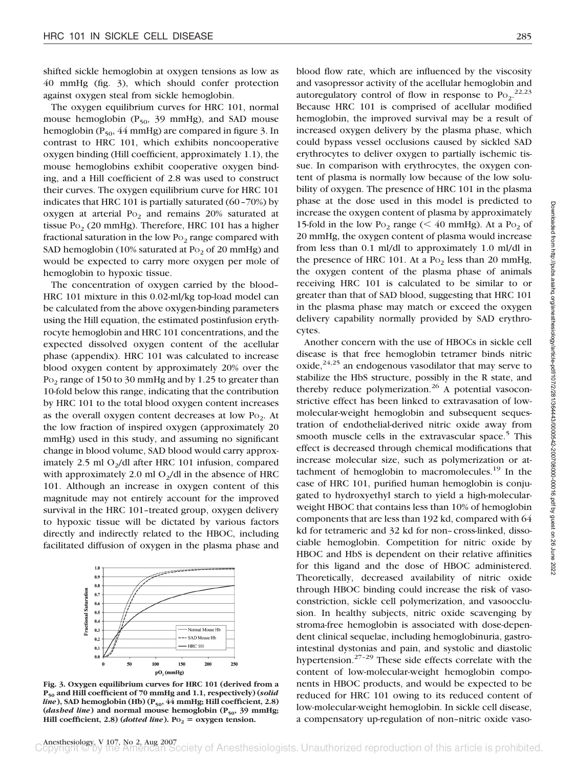shifted sickle hemoglobin at oxygen tensions as low as 40 mmHg (fig. 3), which should confer protection against oxygen steal from sickle hemoglobin.

The oxygen equilibrium curves for HRC 101, normal mouse hemoglobin  $(P_{50}$ , 39 mmHg), and SAD mouse hemoglobin ( $P_{50}$ , 44 mmHg) are compared in figure 3. In contrast to HRC 101, which exhibits noncooperative oxygen binding (Hill coefficient, approximately 1.1), the mouse hemoglobins exhibit cooperative oxygen binding, and a Hill coefficient of 2.8 was used to construct their curves. The oxygen equilibrium curve for HRC 101 indicates that HRC 101 is partially saturated (60–70%) by oxygen at arterial  $Po<sub>2</sub>$  and remains 20% saturated at tissue Po<sub>2</sub> (20 mmHg). Therefore, HRC 101 has a higher fractional saturation in the low  $Po_2$  range compared with SAD hemoglobin (10% saturated at  $Po<sub>2</sub>$  of 20 mmHg) and would be expected to carry more oxygen per mole of hemoglobin to hypoxic tissue.

The concentration of oxygen carried by the blood– HRC 101 mixture in this 0.02-ml/kg top-load model can be calculated from the above oxygen-binding parameters using the Hill equation, the estimated postinfusion erythrocyte hemoglobin and HRC 101 concentrations, and the expected dissolved oxygen content of the acellular phase (appendix). HRC 101 was calculated to increase blood oxygen content by approximately 20% over the Po<sub>2</sub> range of 150 to 30 mmHg and by 1.25 to greater than 10-fold below this range, indicating that the contribution by HRC 101 to the total blood oxygen content increases as the overall oxygen content decreases at low  $Po_2$ . At the low fraction of inspired oxygen (approximately 20 mmHg) used in this study, and assuming no significant change in blood volume, SAD blood would carry approximately 2.5 ml  $O<sub>2</sub>/dl$  after HRC 101 infusion, compared with approximately 2.0 ml  $O<sub>2</sub>/dl$  in the absence of HRC 101. Although an increase in oxygen content of this magnitude may not entirely account for the improved survival in the HRC 101–treated group, oxygen delivery to hypoxic tissue will be dictated by various factors directly and indirectly related to the HBOC, including facilitated diffusion of oxygen in the plasma phase and



**Fig. 3. Oxygen equilibrium curves for HRC 101 (derived from a P50 and Hill coefficient of 70 mmHg and 1.1, respectively) (***solid line*), SAD hemoglobin (Hb) (P<sub>50</sub>, 44 mmHg; Hill coefficient, 2.8) (*dashed line*) and normal mouse hemoglobin ( $P_{50}$ , 39 mmHg; **Hill coefficient, 2.8)** (*dotted line*). Po<sub>2</sub> = oxygen tension.

blood flow rate, which are influenced by the viscosity and vasopressor activity of the acellular hemoglobin and autoregulatory control of flow in response to  $Po_2$ <sup>22,23</sup> Because HRC 101 is comprised of acellular modified hemoglobin, the improved survival may be a result of increased oxygen delivery by the plasma phase, which could bypass vessel occlusions caused by sickled SAD erythrocytes to deliver oxygen to partially ischemic tissue. In comparison with erythrocytes, the oxygen content of plasma is normally low because of the low solubility of oxygen. The presence of HRC 101 in the plasma phase at the dose used in this model is predicted to increase the oxygen content of plasma by approximately 15-fold in the low Po<sub>2</sub> range ( $\leq 40$  mmHg). At a Po<sub>2</sub> of 20 mmHg, the oxygen content of plasma would increase from less than 0.1 ml/dl to approximately 1.0 ml/dl in the presence of HRC 101. At a  $Po<sub>2</sub>$  less than 20 mmHg, the oxygen content of the plasma phase of animals receiving HRC 101 is calculated to be similar to or greater than that of SAD blood, suggesting that HRC 101 in the plasma phase may match or exceed the oxygen delivery capability normally provided by SAD erythrocytes.

Another concern with the use of HBOCs in sickle cell disease is that free hemoglobin tetramer binds nitric oxide,  $2^{4,25}$  an endogenous vasodilator that may serve to stabilize the HbS structure, possibly in the R state, and thereby reduce polymerization.<sup>26</sup> A potential vasoconstrictive effect has been linked to extravasation of lowmolecular-weight hemoglobin and subsequent sequestration of endothelial-derived nitric oxide away from smooth muscle cells in the extravascular space.<sup>5</sup> This effect is decreased through chemical modifications that increase molecular size, such as polymerization or attachment of hemoglobin to macromolecules.<sup>19</sup> In the case of HRC 101, purified human hemoglobin is conjugated to hydroxyethyl starch to yield a high-molecularweight HBOC that contains less than 10% of hemoglobin components that are less than 192 kd, compared with 64 kd for tetrameric and 32 kd for non–cross-linked, dissociable hemoglobin. Competition for nitric oxide by HBOC and HbS is dependent on their relative affinities for this ligand and the dose of HBOC administered. Theoretically, decreased availability of nitric oxide through HBOC binding could increase the risk of vasoconstriction, sickle cell polymerization, and vasoocclusion. In healthy subjects, nitric oxide scavenging by stroma-free hemoglobin is associated with dose-dependent clinical sequelae, including hemoglobinuria, gastrointestinal dystonias and pain, and systolic and diastolic hypertension. $27-29$  These side effects correlate with the content of low-molecular-weight hemoglobin components in HBOC products, and would be expected to be reduced for HRC 101 owing to its reduced content of low-molecular-weight hemoglobin. In sickle cell disease, a compensatory up-regulation of non–nitric oxide vaso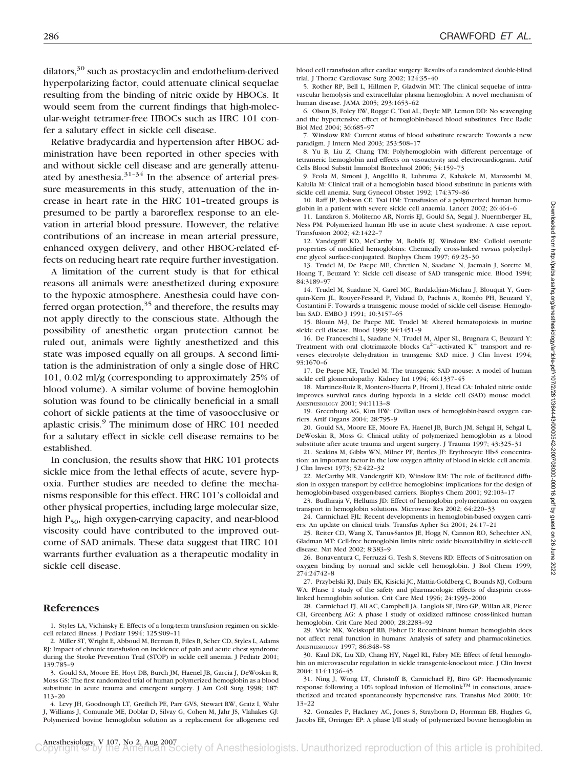dilators, $30$  such as prostacyclin and endothelium-derived hyperpolarizing factor, could attenuate clinical sequelae resulting from the binding of nitric oxide by HBOCs. It would seem from the current findings that high-molecular-weight tetramer-free HBOCs such as HRC 101 confer a salutary effect in sickle cell disease.

Relative bradycardia and hypertension after HBOC administration have been reported in other species with and without sickle cell disease and are generally attenuated by anesthesia. $31-34$  In the absence of arterial pressure measurements in this study, attenuation of the increase in heart rate in the HRC 101–treated groups is presumed to be partly a baroreflex response to an elevation in arterial blood pressure. However, the relative contributions of an increase in mean arterial pressure, enhanced oxygen delivery, and other HBOC-related effects on reducing heart rate require further investigation.

A limitation of the current study is that for ethical reasons all animals were anesthetized during exposure to the hypoxic atmosphere. Anesthesia could have conferred organ protection, $35$  and therefore, the results may not apply directly to the conscious state. Although the possibility of anesthetic organ protection cannot be ruled out, animals were lightly anesthetized and this state was imposed equally on all groups. A second limitation is the administration of only a single dose of HRC 101, 0.02 ml/g (corresponding to approximately 25% of blood volume). A similar volume of bovine hemoglobin solution was found to be clinically beneficial in a small cohort of sickle patients at the time of vasoocclusive or aplastic crisis.9 The minimum dose of HRC 101 needed for a salutary effect in sickle cell disease remains to be established.

In conclusion, the results show that HRC 101 protects sickle mice from the lethal effects of acute, severe hypoxia. Further studies are needed to define the mechanisms responsible for this effect. HRC 101's colloidal and other physical properties, including large molecular size, high  $P_{50}$ , high oxygen-carrying capacity, and near-blood viscosity could have contributed to the improved outcome of SAD animals. These data suggest that HRC 101 warrants further evaluation as a therapeutic modality in sickle cell disease.

#### **References**

1. Styles LA, Vichinsky E: Effects of a long-term transfusion regimen on sicklecell related illness. J Pediatr 1994; 125:909–11

2. Miller ST, Wright E, Abboud M, Berman B, Files B, Scher CD, Styles L, Adams RJ: Impact of chronic transfusion on incidence of pain and acute chest syndrome during the Stroke Prevention Trial (STOP) in sickle cell anemia. J Pediatr 2001; 139:785–9

3. Gould SA, Moore EE, Hoyt DB, Burch JM, Haenel JB, Garcia J, DeWoskin R, Moss GS: The first randomized trial of human polymerized hemoglobin as a blood substitute in acute trauma and emergent surgery. J Am Coll Surg 1998; 187: 113–20

4. Levy JH, Goodnough LT, Greilich PE, Parr GVS, Stewart RW, Gratz I, Wahr J, Williams J, Comunale ME, Doblar D, Silvay G, Cohen M, Jahr JS, Vlahakes GJ: Polymerized bovine hemoglobin solution as a replacement for allogeneic red

blood cell transfusion after cardiac surgery: Results of a randomized double-blind trial. J Thorac Cardiovasc Surg 2002; 124:35–40

5. Rother RP, Bell L, Hillmen P, Gladwin MT: The clinical sequelae of intravascular hemolysis and extracellular plasma hemoglobin: A novel mechanism of human disease. JAMA 2005; 293:1653–62

6. Olson JS, Foley EW, Rogge C, Tsai AL, Doyle MP, Lemon DD: No scavenging and the hypertensive effect of hemoglobin-based blood substitutes. Free Radic Biol Med 2004; 36:685–97

7. Winslow RM: Current status of blood substitute research: Towards a new paradigm. J Intern Med 2003; 253:508–17

8. Yu B, Liu Z, Chang TM: Polyhemoglobin with different percentage of tetrameric hemoglobin and effects on vasoactivity and electrocardiogram. Artif Cells Blood Substit Immobil Biotechnol 2006; 34:159–73

9. Feola M, Simoni J, Angelillo R, Luhruma Z, Kabakele M, Manzombi M, Kaluila M: Clinical trail of a hemoglobin based blood substitute in patients with sickle cell anemia. Surg Gynecol Obstet 1992; 174:379–86

10. Raff JP, Dobson CE, Tsai HM: Transfusion of a polymerized human hemoglobin in a patient with severe sickle cell anaemia. Lancet 2002; 26:464–6

11. Lanzkron S, Moliterno AR, Norris EJ, Gould SA, Segal J, Nuermberger EL, Ness PM: Polymerized human Hb use in acute chest syndrome: A case report. Transfusion 2002; 42:1422–7

12. Vandegriff KD, McCarthy M, Rohlfs RJ, Winslow RM: Colloid osmotic properties of modified hemoglobins: Chemically cross-linked *versus* polyethylene glycol surface-conjugated. Biophys Chem 1997; 69:23–30

13. Trudel M, De Paepe ME, Chretien N, Saadane N, Jacmain J, Sorette M, Hoang T, Beuzard Y: Sickle cell disease of SAD transgenic mice. Blood 1994; 84:3189–97

14. Trudel M, Suadane N, Garel MC, Bardakdjian-Michau J, Blouquit Y, Guerquin-Kern JL, Rouyer-Fessard P, Vidaud D, Pachnis A, Rome´o PH, Beuzard Y, Costantini F: Towards a transgenic mouse model of sickle cell disease: Hemoglobin SAD. EMBO J 1991; 10:3157–65

15. Blouin M-J, De Paepe ME, Trudel M: Altered hematopoiesis in murine sickle cell disease. Blood 1999; 94:1451–9

16. De Franceschi L, Saadane N, Trudel M, Alper SL, Brugnara C, Beuzard Y: Treatment with oral clotrimazole blocks  $Ca^{2+}$ -activated  $K^+$  transport and reverses electrolyte dehydration in transgenic SAD mice. J Clin Invest 1994; 93:1670–6

17. De Paepe ME, Trudel M: The transgenic SAD mouse: A model of human sickle cell glomerulopathy. Kidney Int 1994; 46:1337–45

18. Martinez-Ruiz R, Montero-Huerta P, Hromi J, Head CA: Inhaled nitric oxide improves survival rates during hypoxia in a sickle cell (SAD) mouse model. ANESTHESIOLOGY 2001; 94:1113–8

19. Greenburg AG, Kim HW: Civilian uses of hemoglobin-based oxygen carriers. Artif Organs 2004; 28:795–9

20. Gould SA, Moore EE, Moore FA, Haenel JB, Burch JM, Sehgal H, Sehgal L, DeWoskin R, Moss G: Clinical utility of polymerized hemoglobin as a blood substitute after acute trauma and urgent surgery. J Trauma 1997; 43:325–31

21. Seakins M, Gibbs WN, Milner PF, Bertles JF: Erythrocyte Hb-S concentration: an important factor in the low oxygen affinity of blood in sickle cell anemia. J Clin Invest 1973; 52:422–32

22. McCarthy MR, Vandergriff KD, Winslow RM: The role of facilitated diffusion in oxygen transport by cell-free hemoglobins: implications for the design of hemoglobin-based oxygen-based carriers. Biophys Chem 2001; 92:103–17

23. Budhiraja V, Hellums JD: Effect of hemoglobin polymerization on oxygen transport in hemoglobin solutions. Microvasc Res 2002; 64:220–33

24. Carmichael FJL: Recent developments in hemoglobin-based oxygen carriers: An update on clinical trials. Transfus Apher Sci 2001; 24:17–21

25. Reiter CD, Wang X, Tanus-Santos JE, Hogg N, Cannon RO, Schechter AN, Gladman MT: Cell-free hemoglobin limits nitric oxide bioavailability in sickle-cell disease. Nat Med 2002; 8:383–9

26. Bonaventura C, Ferruzzi G, Tesh S, Stevens RD: Effects of S-nitrosation on oxygen binding by normal and sickle cell hemoglobin. J Biol Chem 1999; 274:24742–8

27. Przybelski RJ, Daily EK, Kisicki JC, Mattia-Goldberg C, Bounds MJ, Colburn WA: Phase 1 study of the safety and pharmacologic effects of diaspirin crosslinked hemoglobin solution. Crit Care Med 1996; 24:1993–2000

28. Carmichael FJ, Ali AC, Campbell JA, Langlois SF, Biro GP, Willan AR, Pierce CH, Greenberg AG: A phase I study of oxidized raffinose cross-linked human hemoglobin. Crit Care Med 2000; 28:2283–92

29. Viele MK, Weiskopf RB, Fisher D: Recombinant human hemoglobin does not affect renal function in humans: Analysis of safety and pharmacokinetics. ANESTHESIOLOGY 1997; 86:848–58

30. Kaul DK, Liu XD, Chang HY, Nagel RL, Fabry ME: Effect of fetal hemoglobin on microvascular regulation in sickle transgenic-knockout mice. J Clin Invest 2004; 114:1136–45

31. Ning J, Wong LT, Christoff B, Carmichael FJ, Biro GP: Haemodynamic response following a 10% topload infusion of Hemolink™ in conscious, anaesthetized and treated spontaneously hypertensive rats. Transfus Med 2000; 10: 13–22

32. Gonzales P, Hackney AC, Jones S, Strayhorn D, Horrman EB, Hughes G, Jacobs EE, Orringer EP: A phase I/II study of polymerized bovine hemoglobin in